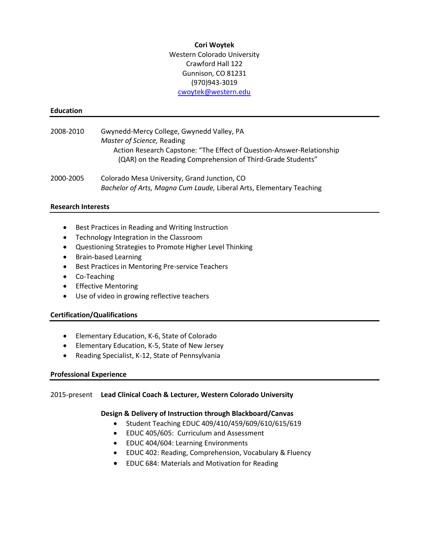#### **Cori Woytek**

Western Colorado University Crawford Hall 122 Gunnison, CO 81231 (970)943-3019 [cwoytek@western.edu](mailto:cwoytek@western.edu)

#### **Education**

- 2008-2010 Gwynedd-Mercy College, Gwynedd Valley, PA *Master of Science,* Reading Action Research Capstone: "The Effect of Question-Answer-Relationship (QAR) on the Reading Comprehension of Third-Grade Students"
- 2000-2005 Colorado Mesa University, Grand Junction, CO *Bachelor of Arts, Magna Cum Laude,* Liberal Arts, Elementary Teaching

#### **Research Interests**

- Best Practices in Reading and Writing Instruction
- Technology Integration in the Classroom
- Questioning Strategies to Promote Higher Level Thinking
- Brain-based Learning
- Best Practices in Mentoring Pre-service Teachers
- Co-Teaching
- Effective Mentoring
- Use of video in growing reflective teachers

### **Certification/Qualifications**

- Elementary Education, K-6, State of Colorado
- Elementary Education, K-5, State of New Jersey
- Reading Specialist, K-12, State of Pennsylvania

### **Professional Experience**

### 2015-present **Lead Clinical Coach & Lecturer, Western Colorado University**

### **Design & Delivery of Instruction through Blackboard/Canvas**

- Student Teaching EDUC 409/410/459/609/610/615/619
- EDUC 405/605: Curriculum and Assessment
- EDUC 404/604: Learning Environments
- EDUC 402: Reading, Comprehension, Vocabulary & Fluency
- EDUC 684: Materials and Motivation for Reading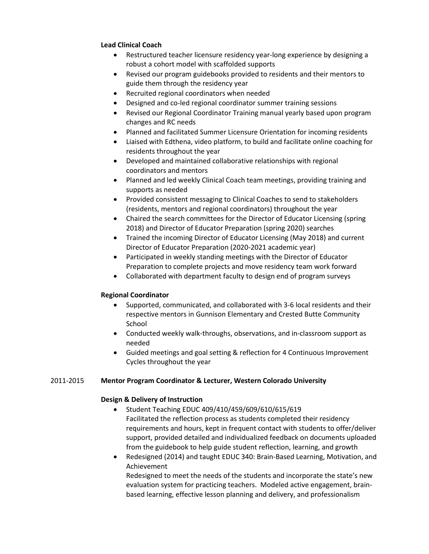## **Lead Clinical Coach**

- Restructured teacher licensure residency year-long experience by designing a robust a cohort model with scaffolded supports
- Revised our program guidebooks provided to residents and their mentors to guide them through the residency year
- Recruited regional coordinators when needed
- Designed and co-led regional coordinator summer training sessions
- Revised our Regional Coordinator Training manual yearly based upon program changes and RC needs
- Planned and facilitated Summer Licensure Orientation for incoming residents
- Liaised with Edthena, video platform, to build and facilitate online coaching for residents throughout the year
- Developed and maintained collaborative relationships with regional coordinators and mentors
- Planned and led weekly Clinical Coach team meetings, providing training and supports as needed
- Provided consistent messaging to Clinical Coaches to send to stakeholders (residents, mentors and regional coordinators) throughout the year
- Chaired the search committees for the Director of Educator Licensing (spring 2018) and Director of Educator Preparation (spring 2020) searches
- Trained the incoming Director of Educator Licensing (May 2018) and current Director of Educator Preparation (2020-2021 academic year)
- Participated in weekly standing meetings with the Director of Educator Preparation to complete projects and move residency team work forward
- Collaborated with department faculty to design end of program surveys

# **Regional Coordinator**

- Supported, communicated, and collaborated with 3-6 local residents and their respective mentors in Gunnison Elementary and Crested Butte Community School
- Conducted weekly walk-throughs, observations, and in-classroom support as needed
- Guided meetings and goal setting & reflection for 4 Continuous Improvement Cycles throughout the year

### 2011-2015 **Mentor Program Coordinator & Lecturer, Western Colorado University**

### **Design & Delivery of Instruction**

- Student Teaching EDUC 409/410/459/609/610/615/619 Facilitated the reflection process as students completed their residency requirements and hours, kept in frequent contact with students to offer/deliver support, provided detailed and individualized feedback on documents uploaded from the guidebook to help guide student reflection, learning, and growth
- Redesigned (2014) and taught EDUC 340: Brain-Based Learning, Motivation, and Achievement

Redesigned to meet the needs of the students and incorporate the state's new evaluation system for practicing teachers. Modeled active engagement, brainbased learning, effective lesson planning and delivery, and professionalism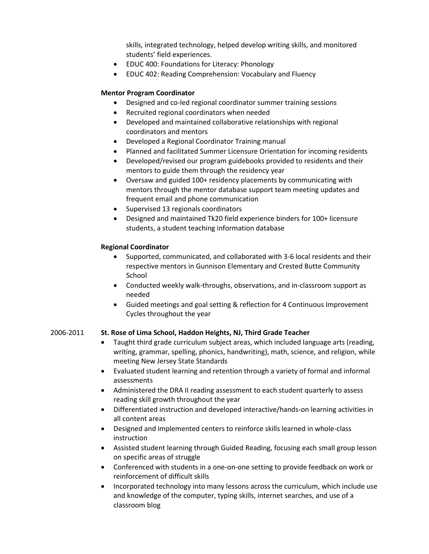skills, integrated technology, helped develop writing skills, and monitored students' field experiences.

- EDUC 400: Foundations for Literacy: Phonology
- EDUC 402: Reading Comprehension: Vocabulary and Fluency

## **Mentor Program Coordinator**

- Designed and co-led regional coordinator summer training sessions
- Recruited regional coordinators when needed
- Developed and maintained collaborative relationships with regional coordinators and mentors
- Developed a Regional Coordinator Training manual
- Planned and facilitated Summer Licensure Orientation for incoming residents
- Developed/revised our program guidebooks provided to residents and their mentors to guide them through the residency year
- Oversaw and guided 100+ residency placements by communicating with mentors through the mentor database support team meeting updates and frequent email and phone communication
- Supervised 13 regionals coordinators
- Designed and maintained Tk20 field experience binders for 100+ licensure students, a student teaching information database

## **Regional Coordinator**

- Supported, communicated, and collaborated with 3-6 local residents and their respective mentors in Gunnison Elementary and Crested Butte Community School
- Conducted weekly walk-throughs, observations, and in-classroom support as needed
- Guided meetings and goal setting & reflection for 4 Continuous Improvement Cycles throughout the year

# 2006-2011 **St. Rose of Lima School, Haddon Heights, NJ, Third Grade Teacher**

- Taught third grade curriculum subject areas, which included language arts (reading, writing, grammar, spelling, phonics, handwriting), math, science, and religion, while meeting New Jersey State Standards
- Evaluated student learning and retention through a variety of formal and informal assessments
- Administered the DRA II reading assessment to each student quarterly to assess reading skill growth throughout the year
- Differentiated instruction and developed interactive/hands-on learning activities in all content areas
- Designed and implemented centers to reinforce skills learned in whole-class instruction
- Assisted student learning through Guided Reading, focusing each small group lesson on specific areas of struggle
- Conferenced with students in a one-on-one setting to provide feedback on work or reinforcement of difficult skills
- Incorporated technology into many lessons across the curriculum, which include use and knowledge of the computer, typing skills, internet searches, and use of a classroom blog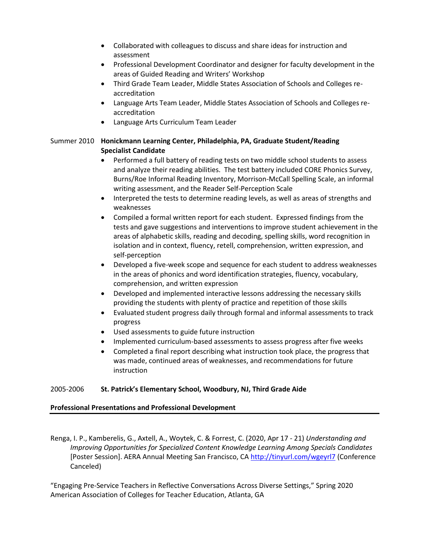- Collaborated with colleagues to discuss and share ideas for instruction and assessment
- Professional Development Coordinator and designer for faculty development in the areas of Guided Reading and Writers' Workshop
- Third Grade Team Leader, Middle States Association of Schools and Colleges reaccreditation
- Language Arts Team Leader, Middle States Association of Schools and Colleges reaccreditation
- Language Arts Curriculum Team Leader

## Summer 2010 **Honickmann Learning Center, Philadelphia, PA, Graduate Student/Reading Specialist Candidate**

- Performed a full battery of reading tests on two middle school students to assess and analyze their reading abilities. The test battery included CORE Phonics Survey, Burns/Roe Informal Reading Inventory, Morrison-McCall Spelling Scale, an informal writing assessment, and the Reader Self-Perception Scale
- Interpreted the tests to determine reading levels, as well as areas of strengths and weaknesses
- Compiled a formal written report for each student. Expressed findings from the tests and gave suggestions and interventions to improve student achievement in the areas of alphabetic skills, reading and decoding, spelling skills, word recognition in isolation and in context, fluency, retell, comprehension, written expression, and self-perception
- Developed a five-week scope and sequence for each student to address weaknesses in the areas of phonics and word identification strategies, fluency, vocabulary, comprehension, and written expression
- Developed and implemented interactive lessons addressing the necessary skills providing the students with plenty of practice and repetition of those skills
- Evaluated student progress daily through formal and informal assessments to track progress
- Used assessments to guide future instruction
- Implemented curriculum-based assessments to assess progress after five weeks
- Completed a final report describing what instruction took place, the progress that was made, continued areas of weaknesses, and recommendations for future instruction

### 2005-2006 **St. Patrick's Elementary School, Woodbury, NJ, Third Grade Aide**

### **Professional Presentations and Professional Development**

Renga, I. P., Kamberelis, G., Axtell, A., Woytek, C. & Forrest, C. (2020, Apr 17 - 21) *Understanding and Improving Opportunities for Specialized Content Knowledge Learning Among Specials Candidates* [Poster Session]. AERA Annual Meeting San Francisco, CA<http://tinyurl.com/wgeyrl7> (Conference Canceled)

"Engaging Pre-Service Teachers in Reflective Conversations Across Diverse Settings," Spring 2020 American Association of Colleges for Teacher Education, Atlanta, GA